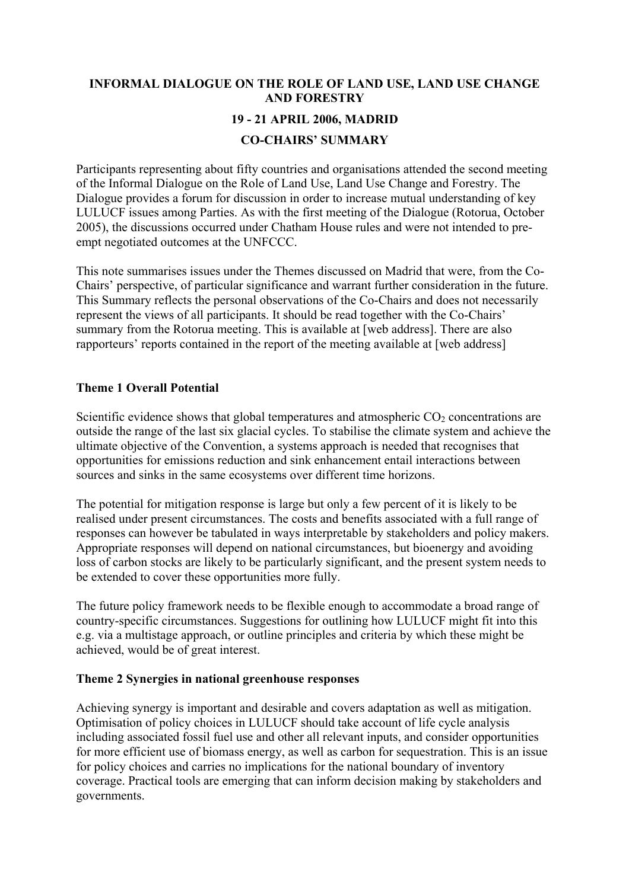# **INFORMAL DIALOGUE ON THE ROLE OF LAND USE, LAND USE CHANGE AND FORESTRY 19 - 21 APRIL 2006, MADRID CO-CHAIRS' SUMMARY**

Participants representing about fifty countries and organisations attended the second meeting of the Informal Dialogue on the Role of Land Use, Land Use Change and Forestry. The Dialogue provides a forum for discussion in order to increase mutual understanding of key LULUCF issues among Parties. As with the first meeting of the Dialogue (Rotorua, October 2005), the discussions occurred under Chatham House rules and were not intended to preempt negotiated outcomes at the UNFCCC.

This note summarises issues under the Themes discussed on Madrid that were, from the Co-Chairs' perspective, of particular significance and warrant further consideration in the future. This Summary reflects the personal observations of the Co-Chairs and does not necessarily represent the views of all participants. It should be read together with the Co-Chairs' summary from the Rotorua meeting. This is available at [web address]. There are also rapporteurs' reports contained in the report of the meeting available at [web address]

## **Theme 1 Overall Potential**

Scientific evidence shows that global temperatures and atmospheric  $CO<sub>2</sub>$  concentrations are outside the range of the last six glacial cycles. To stabilise the climate system and achieve the ultimate objective of the Convention, a systems approach is needed that recognises that opportunities for emissions reduction and sink enhancement entail interactions between sources and sinks in the same ecosystems over different time horizons.

The potential for mitigation response is large but only a few percent of it is likely to be realised under present circumstances. The costs and benefits associated with a full range of responses can however be tabulated in ways interpretable by stakeholders and policy makers. Appropriate responses will depend on national circumstances, but bioenergy and avoiding loss of carbon stocks are likely to be particularly significant, and the present system needs to be extended to cover these opportunities more fully.

The future policy framework needs to be flexible enough to accommodate a broad range of country-specific circumstances. Suggestions for outlining how LULUCF might fit into this e.g. via a multistage approach, or outline principles and criteria by which these might be achieved, would be of great interest.

## **Theme 2 Synergies in national greenhouse responses**

Achieving synergy is important and desirable and covers adaptation as well as mitigation. Optimisation of policy choices in LULUCF should take account of life cycle analysis including associated fossil fuel use and other all relevant inputs, and consider opportunities for more efficient use of biomass energy, as well as carbon for sequestration. This is an issue for policy choices and carries no implications for the national boundary of inventory coverage. Practical tools are emerging that can inform decision making by stakeholders and governments.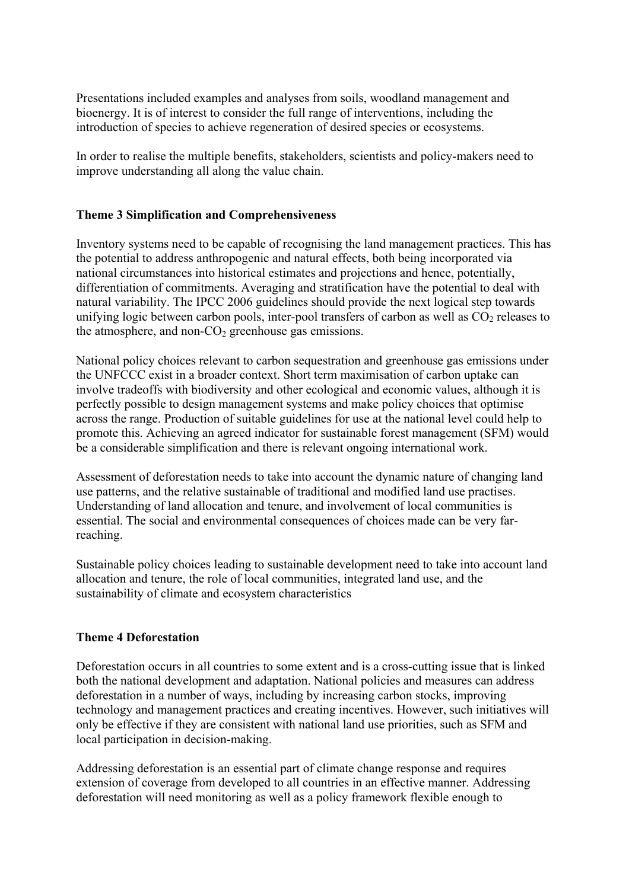Presentations included examples and analyses from soils, woodland management and bioenergy. It is of interest to consider the full range of interventions, including the introduction of species to achieve regeneration of desired species or ecosystems.

In order to realise the multiple benefits, stakeholders, scientists and policy-makers need to improve understanding all along the value chain.

### **Theme 3 Simplification and Comprehensiveness**

Inventory systems need to be capable of recognising the land management practices. This has the potential to address anthropogenic and natural effects, both being incorporated via national circumstances into historical estimates and projections and hence, potentially, differentiation of commitments. Averaging and stratification have the potential to deal with natural variability. The IPCC 2006 guidelines should provide the next logical step towards unifying logic between carbon pools, inter-pool transfers of carbon as well as  $CO<sub>2</sub>$  releases to the atmosphere, and non- $CO<sub>2</sub>$  greenhouse gas emissions.

National policy choices relevant to carbon sequestration and greenhouse gas emissions under the UNFCCC exist in a broader context. Short term maximisation of carbon uptake can involve tradeoffs with biodiversity and other ecological and economic values, although it is perfectly possible to design management systems and make policy choices that optimise across the range. Production of suitable guidelines for use at the national level could help to promote this. Achieving an agreed indicator for sustainable forest management (SFM) would be a considerable simplification and there is relevant ongoing international work.

Assessment of deforestation needs to take into account the dynamic nature of changing land use patterns, and the relative sustainable of traditional and modified land use practises. Understanding of land allocation and tenure, and involvement of local communities is essential. The social and environmental consequences of choices made can be very farreaching.

Sustainable policy choices leading to sustainable development need to take into account land allocation and tenure, the role of local communities, integrated land use, and the sustainability of climate and ecosystem characteristics

## **Theme 4 Deforestation**

Deforestation occurs in all countries to some extent and is a cross-cutting issue that is linked both the national development and adaptation. National policies and measures can address deforestation in a number of ways, including by increasing carbon stocks, improving technology and management practices and creating incentives. However, such initiatives will only be effective if they are consistent with national land use priorities, such as SFM and local participation in decision-making.

Addressing deforestation is an essential part of climate change response and requires extension of coverage from developed to all countries in an effective manner. Addressing deforestation will need monitoring as well as a policy framework flexible enough to